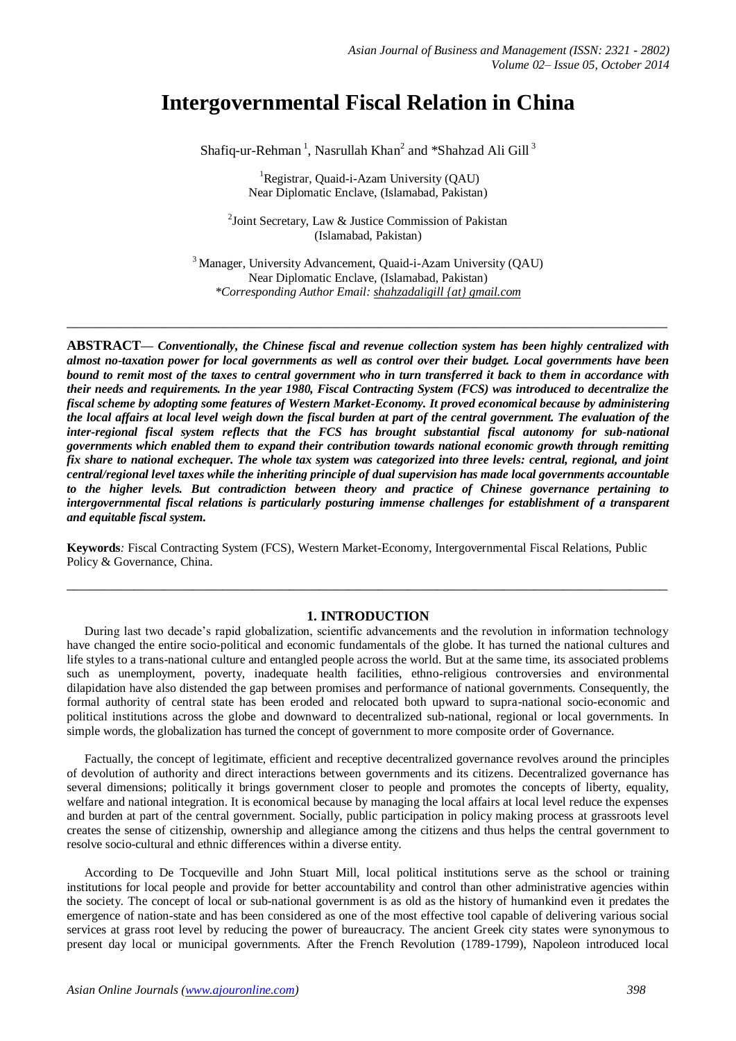# **Intergovernmental Fiscal Relation in China**

Shafiq-ur-Rehman<sup>1</sup>, Nasrullah Khan<sup>2</sup> and \*Shahzad Ali Gill<sup>3</sup>

<sup>1</sup>Registrar, Quaid-i-Azam University (QAU) Near Diplomatic Enclave, (Islamabad, Pakistan)

<sup>2</sup>Joint Secretary, Law & Justice Commission of Pakistan (Islamabad, Pakistan)

<sup>3</sup> Manager, University Advancement, Quaid-i-Azam University (QAU) Near Diplomatic Enclave, (Islamabad, Pakistan) *\*Corresponding Author Email: shahzadaligill {at} gmail.com*

**\_\_\_\_\_\_\_\_\_\_\_\_\_\_\_\_\_\_\_\_\_\_\_\_\_\_\_\_\_\_\_\_\_\_\_\_\_\_\_\_\_\_\_\_\_\_\_\_\_\_\_\_\_\_\_\_\_\_\_\_\_\_\_\_\_\_\_\_\_\_\_\_\_\_\_\_\_\_\_\_\_**

**ABSTRACT—** *Conventionally, the Chinese fiscal and revenue collection system has been highly centralized with almost no-taxation power for local governments as well as control over their budget. Local governments have been bound to remit most of the taxes to central government who in turn transferred it back to them in accordance with their needs and requirements. In the year 1980, Fiscal Contracting System (FCS) was introduced to decentralize the fiscal scheme by adopting some features of Western Market-Economy. It proved economical because by administering the local affairs at local level weigh down the fiscal burden at part of the central government. The evaluation of the inter-regional fiscal system reflects that the FCS has brought substantial fiscal autonomy for sub-national governments which enabled them to expand their contribution towards national economic growth through remitting fix share to national exchequer. The whole tax system was categorized into three levels: central, regional, and joint central/regional level taxes while the inheriting principle of dual supervision has made local governments accountable to the higher levels. But contradiction between theory and practice of Chinese governance pertaining to intergovernmental fiscal relations is particularly posturing immense challenges for establishment of a transparent and equitable fiscal system.*

**Keywords***:* Fiscal Contracting System (FCS), Western Market-Economy, Intergovernmental Fiscal Relations, Public Policy & Governance, China.

# **1. INTRODUCTION**

**\_\_\_\_\_\_\_\_\_\_\_\_\_\_\_\_\_\_\_\_\_\_\_\_\_\_\_\_\_\_\_\_\_\_\_\_\_\_\_\_\_\_\_\_\_\_\_\_\_\_\_\_\_\_\_\_\_\_\_\_\_\_\_\_\_\_\_\_\_\_\_\_\_\_\_\_\_\_\_\_\_**

During last two decade's rapid globalization, scientific advancements and the revolution in information technology have changed the entire socio-political and economic fundamentals of the globe. It has turned the national cultures and life styles to a trans-national culture and entangled people across the world. But at the same time, its associated problems such as unemployment, poverty, inadequate health facilities, ethno-religious controversies and environmental dilapidation have also distended the gap between promises and performance of national governments. Consequently, the formal authority of central state has been eroded and relocated both upward to supra-national socio-economic and political institutions across the globe and downward to decentralized sub-national, regional or local governments. In simple words, the globalization has turned the concept of government to more composite order of Governance.

Factually, the concept of legitimate, efficient and receptive decentralized governance revolves around the principles of devolution of authority and direct interactions between governments and its citizens. Decentralized governance has several dimensions; politically it brings government closer to people and promotes the concepts of liberty, equality, welfare and national integration. It is economical because by managing the local affairs at local level reduce the expenses and burden at part of the central government. Socially, public participation in policy making process at grassroots level creates the sense of citizenship, ownership and allegiance among the citizens and thus helps the central government to resolve socio-cultural and ethnic differences within a diverse entity.

According to De Tocqueville and John Stuart Mill, local political institutions serve as the school or training institutions for local people and provide for better accountability and control than other administrative agencies within the society. The concept of local or sub-national government is as old as the history of humankind even it predates the emergence of nation-state and has been considered as one of the most effective tool capable of delivering various social services at grass root level by reducing the power of bureaucracy. The ancient Greek city states were synonymous to present day local or municipal governments. After the French Revolution (1789-1799), Napoleon introduced local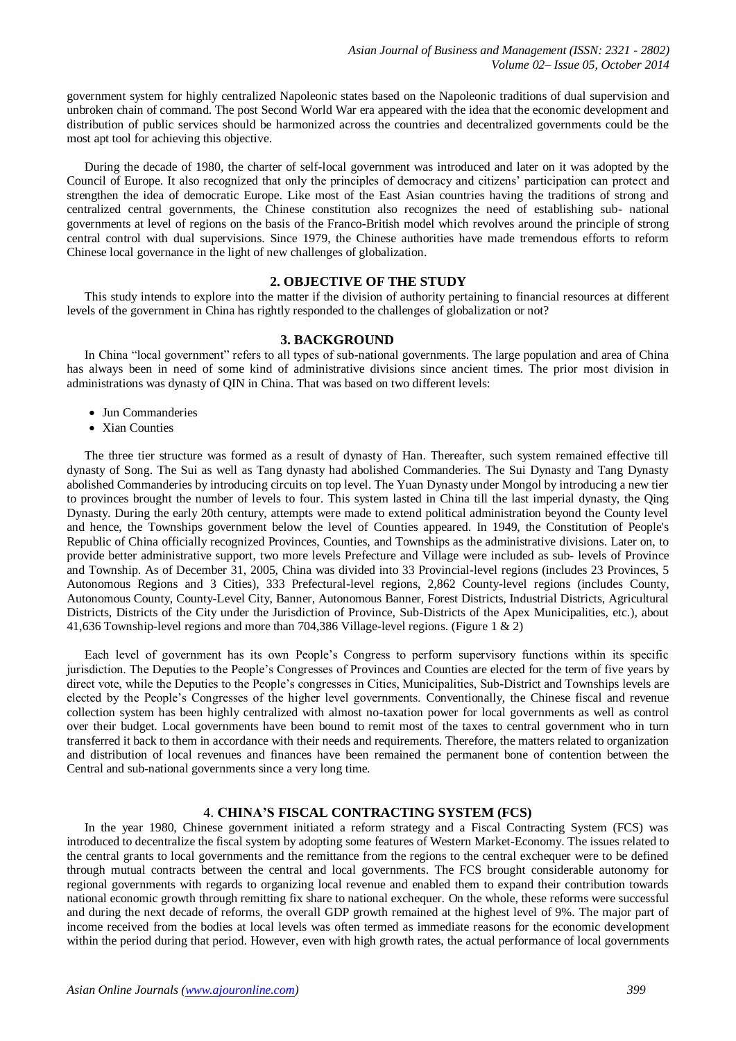government system for highly centralized Napoleonic states based on the Napoleonic traditions of dual supervision and unbroken chain of command. The post Second World War era appeared with the idea that the economic development and distribution of public services should be harmonized across the countries and decentralized governments could be the most apt tool for achieving this objective.

During the decade of 1980, the charter of self-local government was introduced and later on it was adopted by the Council of Europe. It also recognized that only the principles of democracy and citizens' participation can protect and strengthen the idea of democratic Europe. Like most of the East Asian countries having the traditions of strong and centralized central governments, the Chinese constitution also recognizes the need of establishing sub- national governments at level of regions on the basis of the Franco-British model which revolves around the principle of strong central control with dual supervisions. Since 1979, the Chinese authorities have made tremendous efforts to reform Chinese local governance in the light of new challenges of globalization.

# **2. OBJECTIVE OF THE STUDY**

This study intends to explore into the matter if the division of authority pertaining to financial resources at different levels of the government in China has rightly responded to the challenges of globalization or not?

#### **3. BACKGROUND**

In China "local government" refers to all types of sub-national governments. The large population and area of China has always been in need of some kind of administrative divisions since ancient times. The prior most division in administrations was dynasty of QIN in China. That was based on two different levels:

- Jun Commanderies
- Xian Counties

The three tier structure was formed as a result of dynasty of Han. Thereafter, such system remained effective till dynasty of Song. The Sui as well as Tang dynasty had abolished Commanderies. The Sui Dynasty and Tang Dynasty abolished Commanderies by introducing circuits on top level. The Yuan Dynasty under Mongol by introducing a new tier to provinces brought the number of levels to four. This system lasted in China till the last imperial dynasty, the Qing Dynasty. During the early 20th century, attempts were made to extend political administration beyond the County level and hence, the Townships government below the level of Counties appeared. In 1949, the Constitution of People's Republic of China officially recognized Provinces, Counties, and Townships as the administrative divisions. Later on, to provide better administrative support, two more levels Prefecture and Village were included as sub- levels of Province and Township. As of December 31, 2005, China was divided into 33 Provincial-level regions (includes 23 Provinces, 5 Autonomous Regions and 3 Cities), 333 Prefectural-level regions, 2,862 County-level regions (includes County, Autonomous County, County-Level City, Banner, Autonomous Banner, Forest Districts, Industrial Districts, Agricultural Districts, Districts of the City under the Jurisdiction of Province, Sub-Districts of the Apex Municipalities, etc.), about 41,636 Township-level regions and more than 704,386 Village-level regions. (Figure 1 & 2)

Each level of government has its own People's Congress to perform supervisory functions within its specific jurisdiction. The Deputies to the People's Congresses of Provinces and Counties are elected for the term of five years by direct vote, while the Deputies to the People's congresses in Cities, Municipalities, Sub-District and Townships levels are elected by the People's Congresses of the higher level governments. Conventionally, the Chinese fiscal and revenue collection system has been highly centralized with almost no-taxation power for local governments as well as control over their budget. Local governments have been bound to remit most of the taxes to central government who in turn transferred it back to them in accordance with their needs and requirements. Therefore, the matters related to organization and distribution of local revenues and finances have been remained the permanent bone of contention between the Central and sub-national governments since a very long time.

#### 4. **CHINA'S FISCAL CONTRACTING SYSTEM (FCS)**

In the year 1980, Chinese government initiated a reform strategy and a Fiscal Contracting System (FCS) was introduced to decentralize the fiscal system by adopting some features of Western Market-Economy. The issues related to the central grants to local governments and the remittance from the regions to the central exchequer were to be defined through mutual contracts between the central and local governments. The FCS brought considerable autonomy for regional governments with regards to organizing local revenue and enabled them to expand their contribution towards national economic growth through remitting fix share to national exchequer. On the whole, these reforms were successful and during the next decade of reforms, the overall GDP growth remained at the highest level of 9%. The major part of income received from the bodies at local levels was often termed as immediate reasons for the economic development within the period during that period. However, even with high growth rates, the actual performance of local governments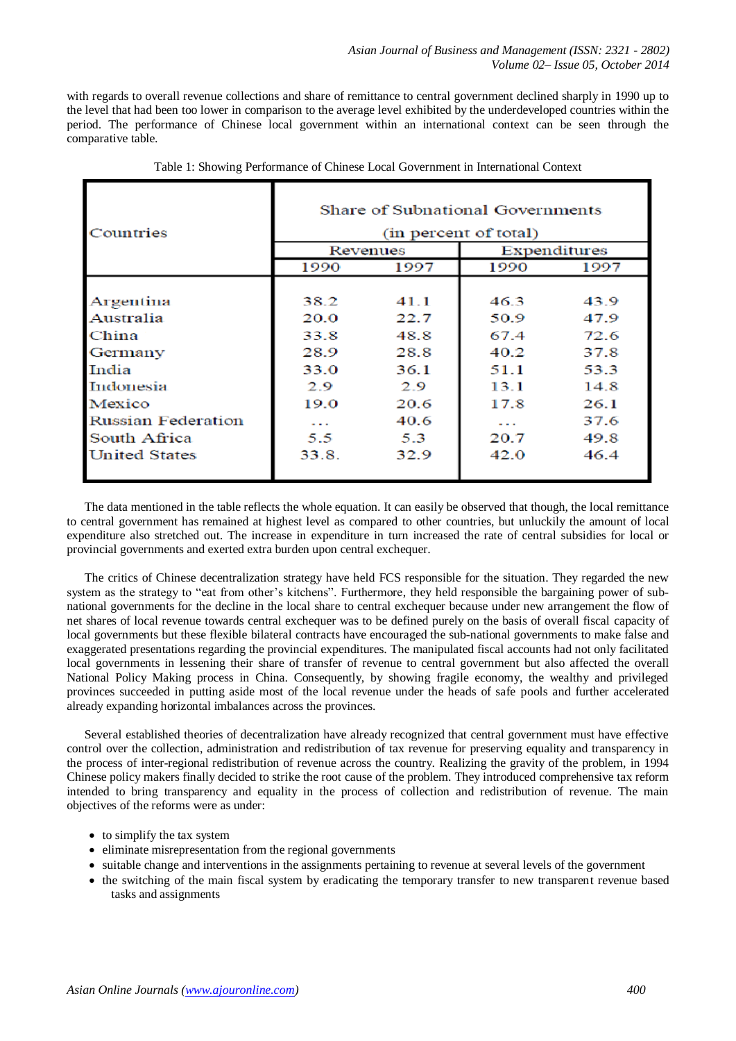with regards to overall revenue collections and share of remittance to central government declined sharply in 1990 up to the level that had been too lower in comparison to the average level exhibited by the underdeveloped countries within the period. The performance of Chinese local government within an international context can be seen through the comparative table.

| Share of Subnational Governments<br>(in percent of total)<br>Expenditures<br>Revenues |                                                                           |                                                                              |                                                                              |
|---------------------------------------------------------------------------------------|---------------------------------------------------------------------------|------------------------------------------------------------------------------|------------------------------------------------------------------------------|
| 1990                                                                                  | 1997                                                                      | 1990                                                                         | 1997                                                                         |
| 38.2<br>20.0<br>33.8<br>28.9<br>33.0<br>29<br>19.0<br>$\sim$ $\sim$<br>5.5<br>33.8.   | 41 1<br>22.7<br>48.8<br>28.8<br>36.1<br>29<br>20.6<br>40.6<br>5.3<br>32.9 | 46.3<br>50.9<br>67.4<br>40.2<br>51.1<br>13.1<br>17.8<br>$ -$<br>20.7<br>42.0 | 43.9<br>47.9<br>72.6<br>37.8<br>53.3<br>14.8<br>26.1<br>37.6<br>49.8<br>46.4 |
|                                                                                       |                                                                           |                                                                              |                                                                              |

Table 1: Showing Performance of Chinese Local Government in International Context

The data mentioned in the table reflects the whole equation. It can easily be observed that though, the local remittance to central government has remained at highest level as compared to other countries, but unluckily the amount of local expenditure also stretched out. The increase in expenditure in turn increased the rate of central subsidies for local or provincial governments and exerted extra burden upon central exchequer.

The critics of Chinese decentralization strategy have held FCS responsible for the situation. They regarded the new system as the strategy to "eat from other's kitchens". Furthermore, they held responsible the bargaining power of subnational governments for the decline in the local share to central exchequer because under new arrangement the flow of net shares of local revenue towards central exchequer was to be defined purely on the basis of overall fiscal capacity of local governments but these flexible bilateral contracts have encouraged the sub-national governments to make false and exaggerated presentations regarding the provincial expenditures. The manipulated fiscal accounts had not only facilitated local governments in lessening their share of transfer of revenue to central government but also affected the overall National Policy Making process in China. Consequently, by showing fragile economy, the wealthy and privileged provinces succeeded in putting aside most of the local revenue under the heads of safe pools and further accelerated already expanding horizontal imbalances across the provinces.

Several established theories of decentralization have already recognized that central government must have effective control over the collection, administration and redistribution of tax revenue for preserving equality and transparency in the process of inter-regional redistribution of revenue across the country. Realizing the gravity of the problem, in 1994 Chinese policy makers finally decided to strike the root cause of the problem. They introduced comprehensive tax reform intended to bring transparency and equality in the process of collection and redistribution of revenue. The main objectives of the reforms were as under:

- $\bullet$  to simplify the tax system
- eliminate misrepresentation from the regional governments
- suitable change and interventions in the assignments pertaining to revenue at several levels of the government
- the switching of the main fiscal system by eradicating the temporary transfer to new transparent revenue based tasks and assignments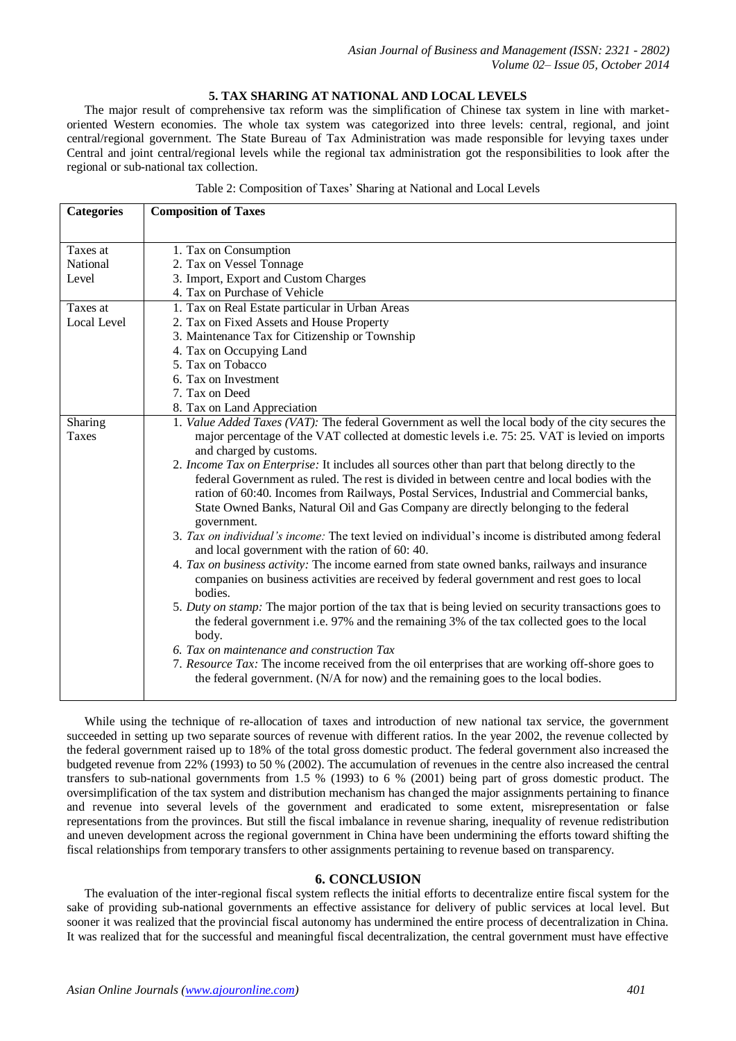# **5. TAX SHARING AT NATIONAL AND LOCAL LEVELS**

The major result of comprehensive tax reform was the simplification of Chinese tax system in line with marketoriented Western economies. The whole tax system was categorized into three levels: central, regional, and joint central/regional government. The State Bureau of Tax Administration was made responsible for levying taxes under Central and joint central/regional levels while the regional tax administration got the responsibilities to look after the regional or sub-national tax collection.

| <b>Categories</b> | <b>Composition of Taxes</b>                                                                                                                                                                      |
|-------------------|--------------------------------------------------------------------------------------------------------------------------------------------------------------------------------------------------|
|                   |                                                                                                                                                                                                  |
| Taxes at          | 1. Tax on Consumption                                                                                                                                                                            |
| National          | 2. Tax on Vessel Tonnage                                                                                                                                                                         |
| Level             | 3. Import, Export and Custom Charges                                                                                                                                                             |
|                   | 4. Tax on Purchase of Vehicle                                                                                                                                                                    |
| Taxes at          | 1. Tax on Real Estate particular in Urban Areas                                                                                                                                                  |
| Local Level       | 2. Tax on Fixed Assets and House Property                                                                                                                                                        |
|                   | 3. Maintenance Tax for Citizenship or Township                                                                                                                                                   |
|                   | 4. Tax on Occupying Land                                                                                                                                                                         |
|                   | 5. Tax on Tobacco                                                                                                                                                                                |
|                   | 6. Tax on Investment                                                                                                                                                                             |
|                   | 7. Tax on Deed                                                                                                                                                                                   |
|                   | 8. Tax on Land Appreciation                                                                                                                                                                      |
| Sharing           | 1. Value Added Taxes (VAT): The federal Government as well the local body of the city secures the                                                                                                |
| Taxes             | major percentage of the VAT collected at domestic levels i.e. 75: 25. VAT is levied on imports                                                                                                   |
|                   | and charged by customs.                                                                                                                                                                          |
|                   | 2. Income Tax on Enterprise: It includes all sources other than part that belong directly to the<br>federal Government as ruled. The rest is divided in between centre and local bodies with the |
|                   | ration of 60:40. Incomes from Railways, Postal Services, Industrial and Commercial banks,                                                                                                        |
|                   | State Owned Banks, Natural Oil and Gas Company are directly belonging to the federal                                                                                                             |
|                   | government.                                                                                                                                                                                      |
|                   | 3. Tax on individual's income: The text levied on individual's income is distributed among federal                                                                                               |
|                   | and local government with the ration of 60: 40.                                                                                                                                                  |
|                   | 4. Tax on business activity: The income earned from state owned banks, railways and insurance                                                                                                    |
|                   | companies on business activities are received by federal government and rest goes to local<br>bodies.                                                                                            |
|                   | 5. Duty on stamp: The major portion of the tax that is being levied on security transactions goes to                                                                                             |
|                   | the federal government i.e. 97% and the remaining 3% of the tax collected goes to the local                                                                                                      |
|                   | body.                                                                                                                                                                                            |
|                   | 6. Tax on maintenance and construction Tax                                                                                                                                                       |
|                   | 7. Resource Tax: The income received from the oil enterprises that are working off-shore goes to                                                                                                 |
|                   | the federal government. (N/A for now) and the remaining goes to the local bodies.                                                                                                                |
|                   |                                                                                                                                                                                                  |

While using the technique of re-allocation of taxes and introduction of new national tax service, the government succeeded in setting up two separate sources of revenue with different ratios. In the year 2002, the revenue collected by the federal government raised up to 18% of the total gross domestic product. The federal government also increased the budgeted revenue from 22% (1993) to 50 % (2002). The accumulation of revenues in the centre also increased the central transfers to sub-national governments from 1.5 % (1993) to 6 % (2001) being part of gross domestic product. The oversimplification of the tax system and distribution mechanism has changed the major assignments pertaining to finance and revenue into several levels of the government and eradicated to some extent, misrepresentation or false representations from the provinces. But still the fiscal imbalance in revenue sharing, inequality of revenue redistribution and uneven development across the regional government in China have been undermining the efforts toward shifting the fiscal relationships from temporary transfers to other assignments pertaining to revenue based on transparency.

# **6. CONCLUSION**

The evaluation of the inter-regional fiscal system reflects the initial efforts to decentralize entire fiscal system for the sake of providing sub-national governments an effective assistance for delivery of public services at local level. But sooner it was realized that the provincial fiscal autonomy has undermined the entire process of decentralization in China. It was realized that for the successful and meaningful fiscal decentralization, the central government must have effective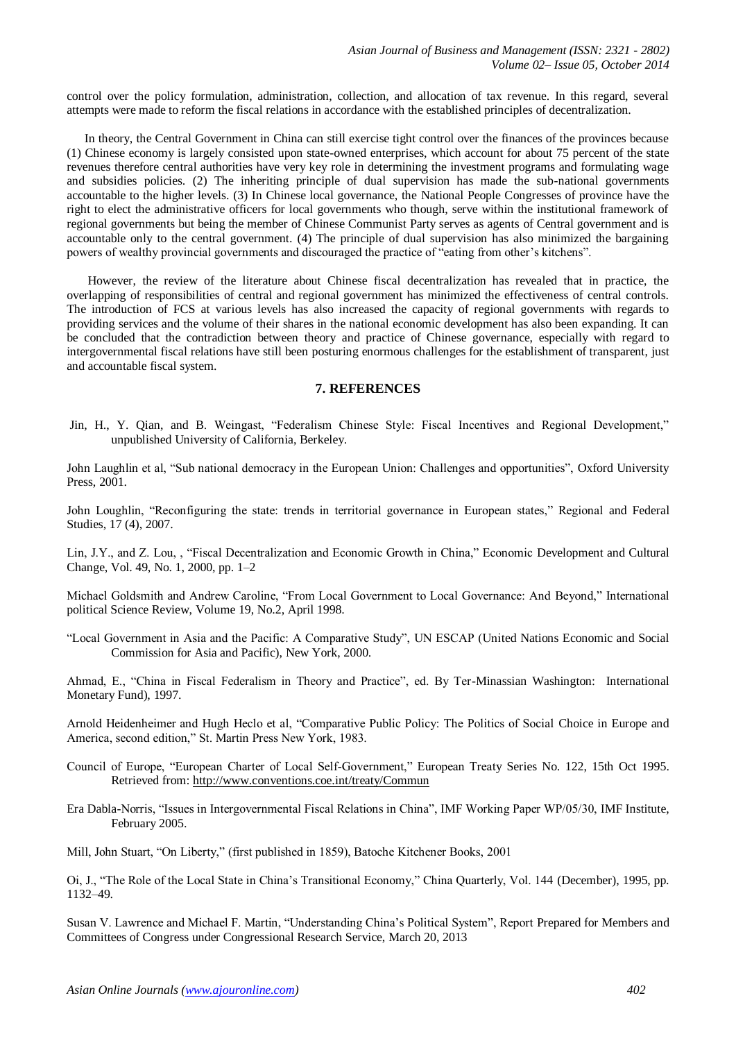control over the policy formulation, administration, collection, and allocation of tax revenue. In this regard, several attempts were made to reform the fiscal relations in accordance with the established principles of decentralization.

In theory, the Central Government in China can still exercise tight control over the finances of the provinces because (1) Chinese economy is largely consisted upon state-owned enterprises, which account for about 75 percent of the state revenues therefore central authorities have very key role in determining the investment programs and formulating wage and subsidies policies. (2) The inheriting principle of dual supervision has made the sub-national governments accountable to the higher levels. (3) In Chinese local governance, the National People Congresses of province have the right to elect the administrative officers for local governments who though, serve within the institutional framework of regional governments but being the member of Chinese Communist Party serves as agents of Central government and is accountable only to the central government. (4) The principle of dual supervision has also minimized the bargaining powers of wealthy provincial governments and discouraged the practice of "eating from other's kitchens".

However, the review of the literature about Chinese fiscal decentralization has revealed that in practice, the overlapping of responsibilities of central and regional government has minimized the effectiveness of central controls. The introduction of FCS at various levels has also increased the capacity of regional governments with regards to providing services and the volume of their shares in the national economic development has also been expanding. It can be concluded that the contradiction between theory and practice of Chinese governance, especially with regard to intergovernmental fiscal relations have still been posturing enormous challenges for the establishment of transparent, just and accountable fiscal system.

# **7. REFERENCES**

Jin, H., Y. Qian, and B. Weingast, "Federalism Chinese Style: Fiscal Incentives and Regional Development," unpublished University of California, Berkeley.

John Laughlin et al, "Sub national democracy in the European Union: Challenges and opportunities", Oxford University Press, 2001.

John Loughlin, "Reconfiguring the state: trends in territorial governance in European states," Regional and Federal Studies, 17 (4), 2007.

Lin, J.Y., and Z. Lou, , "Fiscal Decentralization and Economic Growth in China," Economic Development and Cultural Change, Vol. 49, No. 1, 2000, pp. 1–2

Michael Goldsmith and Andrew Caroline, "From Local Government to Local Governance: And Beyond," International political Science Review, Volume 19, No.2, April 1998.

"Local Government in Asia and the Pacific: A Comparative Study", UN ESCAP (United Nations Economic and Social Commission for Asia and Pacific), New York, 2000.

Ahmad, E., "China in Fiscal Federalism in Theory and Practice", ed. By Ter-Minassian Washington: International Monetary Fund), 1997.

Arnold Heidenheimer and Hugh Heclo et al, "Comparative Public Policy: The Politics of Social Choice in Europe and America, second edition," St. Martin Press New York, 1983.

- Council of Europe, "European Charter of Local Self-Government," European Treaty Series No. 122, 15th Oct 1995. Retrieved from:<http://www.conventions.coe.int/treaty/Commun>
- Era Dabla-Norris, "Issues in Intergovernmental Fiscal Relations in China", IMF Working Paper WP/05/30, IMF Institute, February 2005.

Mill, John Stuart, "On Liberty," (first published in 1859), Batoche Kitchener Books, 2001

Oi, J., "The Role of the Local State in China's Transitional Economy," China Quarterly, Vol. 144 (December), 1995, pp. 1132–49.

Susan V. Lawrence and Michael F. Martin, "Understanding China's Political System", Report Prepared for Members and Committees of Congress under Congressional Research Service, March 20, 2013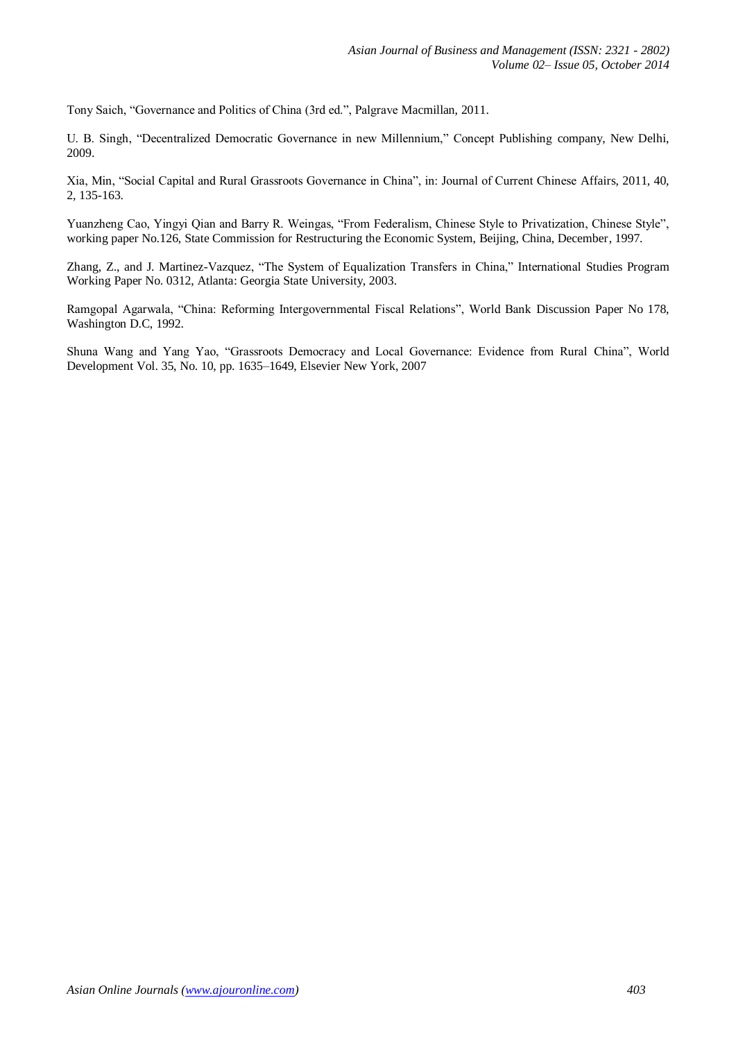Tony Saich, "Governance and Politics of China (3rd ed.", Palgrave Macmillan, 2011.

U. B. Singh, "Decentralized Democratic Governance in new Millennium," Concept Publishing company, New Delhi, 2009.

Xia, Min, "Social Capital and Rural Grassroots Governance in China", in: Journal of Current Chinese Affairs, 2011, 40, 2, 135-163.

Yuanzheng Cao, Yingyi Qian and Barry R. Weingas, "From Federalism, Chinese Style to Privatization, Chinese Style", working paper No.126, State Commission for Restructuring the Economic System, Beijing, China, December, 1997.

Zhang, Z., and J. Martinez-Vazquez, "The System of Equalization Transfers in China," International Studies Program Working Paper No. 0312, Atlanta: Georgia State University, 2003.

Ramgopal Agarwala, "China: Reforming Intergovernmental Fiscal Relations", World Bank Discussion Paper No 178, Washington D.C, 1992.

Shuna Wang and Yang Yao, "Grassroots Democracy and Local Governance: Evidence from Rural China", World Development Vol. 35, No. 10, pp. 1635–1649, Elsevier New York, 2007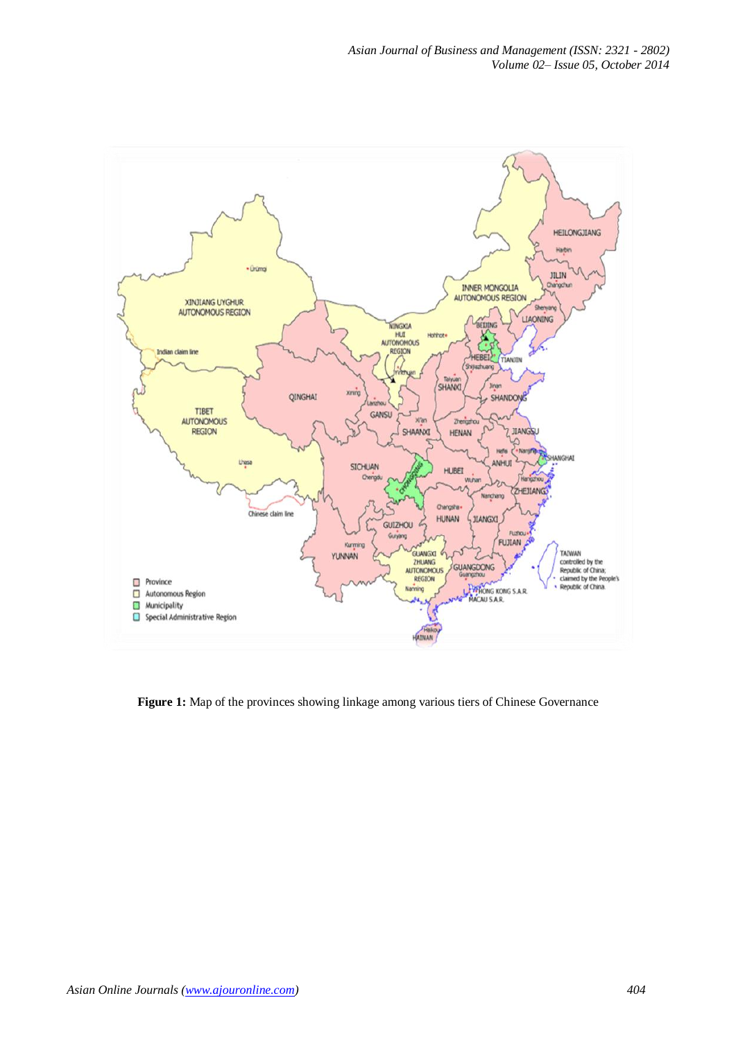

**Figure 1:** Map of the provinces showing linkage among various tiers of Chinese Governance